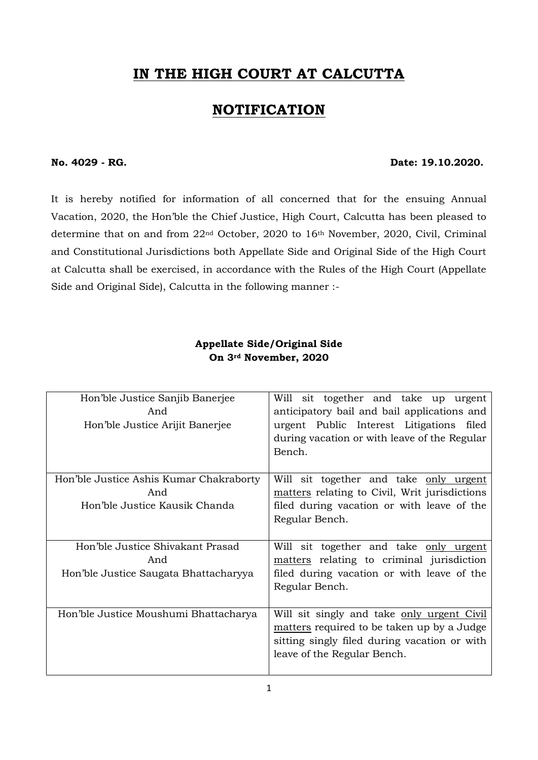# **IN THE HIGH COURT AT CALCUTTA**

# **NOTIFICATION**

#### **No. 4029 - RG. Date: 19.10.2020.**

It is hereby notified for information of all concerned that for the ensuing Annual Vacation, 2020, the Hon'ble the Chief Justice, High Court, Calcutta has been pleased to determine that on and from 22nd October, 2020 to 16th November, 2020, Civil, Criminal and Constitutional Jurisdictions both Appellate Side and Original Side of the High Court at Calcutta shall be exercised, in accordance with the Rules of the High Court (Appellate Side and Original Side), Calcutta in the following manner :-

### **Appellate Side/Original Side On 3rd November, 2020**

| Hon'ble Justice Sanjib Banerjee<br>And<br>Hon'ble Justice Arijit Banerjee        | Will sit together and take up urgent<br>anticipatory bail and bail applications and<br>urgent Public Interest Litigations filed<br>during vacation or with leave of the Regular<br>Bench. |
|----------------------------------------------------------------------------------|-------------------------------------------------------------------------------------------------------------------------------------------------------------------------------------------|
| Hon'ble Justice Ashis Kumar Chakraborty<br>And<br>Hon'ble Justice Kausik Chanda  | Will sit together and take only urgent<br>matters relating to Civil, Writ jurisdictions<br>filed during vacation or with leave of the<br>Regular Bench.                                   |
| Hon'ble Justice Shivakant Prasad<br>And<br>Hon'ble Justice Saugata Bhattacharyya | Will sit together and take only urgent<br>matters relating to criminal jurisdiction<br>filed during vacation or with leave of the<br>Regular Bench.                                       |
| Hon'ble Justice Moushumi Bhattacharya                                            | Will sit singly and take only urgent Civil<br>matters required to be taken up by a Judge<br>sitting singly filed during vacation or with<br>leave of the Regular Bench.                   |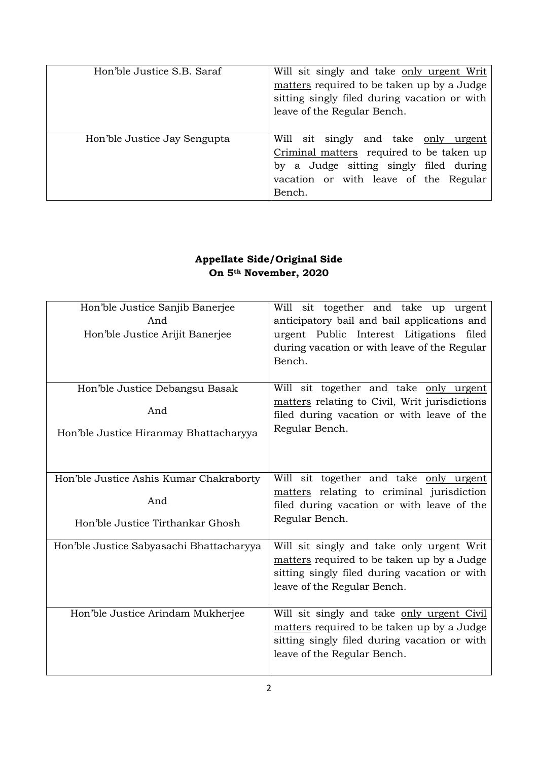| Hon'ble Justice S.B. Saraf   | Will sit singly and take only urgent Writ<br>matters required to be taken up by a Judge<br>sitting singly filed during vacation or with<br>leave of the Regular Bench.        |
|------------------------------|-------------------------------------------------------------------------------------------------------------------------------------------------------------------------------|
| Hon'ble Justice Jay Sengupta | Will sit singly and take only urgent<br>Criminal matters required to be taken up<br>by a Judge sitting singly filed during<br>vacation or with leave of the Regular<br>Bench. |

## **Appellate Side/Original Side On 5th November, 2020**

| Hon'ble Justice Sanjib Banerjee<br>And<br>Hon'ble Justice Arijit Banerjee          | Will sit together and take up urgent<br>anticipatory bail and bail applications and<br>urgent Public Interest Litigations filed<br>during vacation or with leave of the Regular<br>Bench. |
|------------------------------------------------------------------------------------|-------------------------------------------------------------------------------------------------------------------------------------------------------------------------------------------|
| Hon'ble Justice Debangsu Basak<br>And<br>Hon'ble Justice Hiranmay Bhattacharyya    | Will sit together and take only urgent<br>matters relating to Civil, Writ jurisdictions<br>filed during vacation or with leave of the<br>Regular Bench.                                   |
| Hon'ble Justice Ashis Kumar Chakraborty<br>And<br>Hon'ble Justice Tirthankar Ghosh | Will sit together and take only urgent<br>matters relating to criminal jurisdiction<br>filed during vacation or with leave of the<br>Regular Bench.                                       |
| Hon'ble Justice Sabyasachi Bhattacharyya                                           | Will sit singly and take only urgent Writ<br>matters required to be taken up by a Judge<br>sitting singly filed during vacation or with<br>leave of the Regular Bench.                    |
| Hon'ble Justice Arindam Mukherjee                                                  | Will sit singly and take only urgent Civil<br>matters required to be taken up by a Judge<br>sitting singly filed during vacation or with<br>leave of the Regular Bench.                   |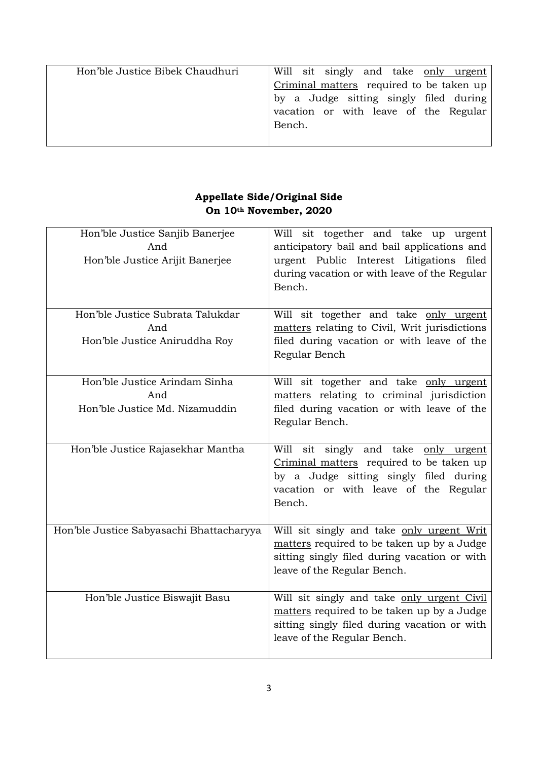| Hon'ble Justice Bibek Chaudhuri | Will sit singly and take only urgent     |
|---------------------------------|------------------------------------------|
|                                 | Criminal matters required to be taken up |
|                                 | by a Judge sitting singly filed during   |
|                                 | vacation or with leave of the Regular    |
|                                 | Bench.                                   |
|                                 |                                          |

## **Appellate Side/Original Side On 10th November, 2020**

| Hon'ble Justice Sanjib Banerjee<br>And<br>Hon'ble Justice Arijit Banerjee | Will sit together and take up urgent<br>anticipatory bail and bail applications and<br>urgent Public Interest Litigations<br>filed<br>during vacation or with leave of the Regular<br>Bench. |
|---------------------------------------------------------------------------|----------------------------------------------------------------------------------------------------------------------------------------------------------------------------------------------|
| Hon'ble Justice Subrata Talukdar<br>And<br>Hon'ble Justice Aniruddha Roy  | Will sit together and take only urgent<br>matters relating to Civil, Writ jurisdictions<br>filed during vacation or with leave of the<br>Regular Bench                                       |
| Hon'ble Justice Arindam Sinha<br>And<br>Hon'ble Justice Md. Nizamuddin    | Will sit together and take only urgent<br>matters relating to criminal jurisdiction<br>filed during vacation or with leave of the<br>Regular Bench.                                          |
| Hon'ble Justice Rajasekhar Mantha                                         | Will sit singly and take only urgent<br>Criminal matters required to be taken up<br>by a Judge sitting singly filed during<br>vacation or with leave of the Regular<br>Bench.                |
| Hon'ble Justice Sabyasachi Bhattacharyya                                  | Will sit singly and take only urgent Writ<br>matters required to be taken up by a Judge<br>sitting singly filed during vacation or with<br>leave of the Regular Bench.                       |
| Hon'ble Justice Biswajit Basu                                             | Will sit singly and take only urgent Civil<br>matters required to be taken up by a Judge<br>sitting singly filed during vacation or with<br>leave of the Regular Bench.                      |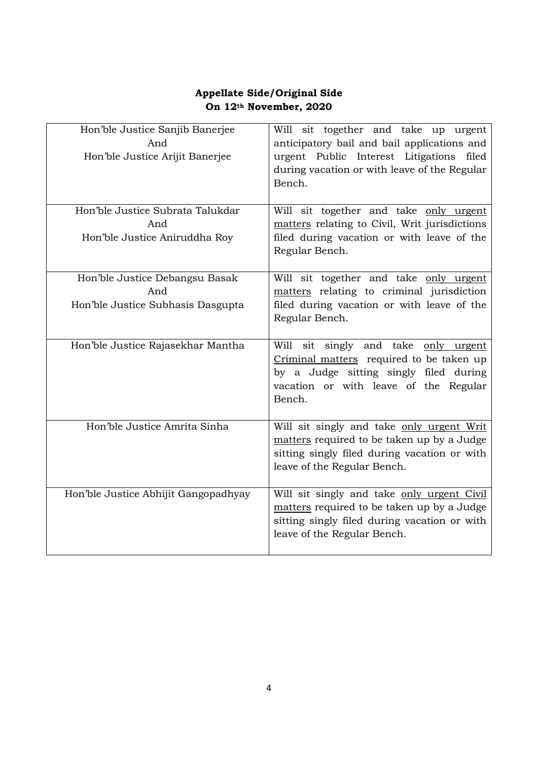## **Appellate Side/Original Side On 12th November, 2020**

| Hon'ble Justice Sanjib Banerjee<br>And<br>Hon'ble Justice Arijit Banerjee | Will sit together and take up urgent<br>anticipatory bail and bail applications and<br>urgent Public Interest Litigations filed<br>during vacation or with leave of the Regular<br>Bench. |
|---------------------------------------------------------------------------|-------------------------------------------------------------------------------------------------------------------------------------------------------------------------------------------|
| Hon'ble Justice Subrata Talukdar                                          | Will sit together and take only urgent                                                                                                                                                    |
| And                                                                       | matters relating to Civil, Writ jurisdictions                                                                                                                                             |
| Hon'ble Justice Aniruddha Roy                                             | filed during vacation or with leave of the<br>Regular Bench.                                                                                                                              |
| Hon'ble Justice Debangsu Basak                                            | Will sit together and take only urgent                                                                                                                                                    |
| And                                                                       | matters relating to criminal jurisdiction                                                                                                                                                 |
| Hon'ble Justice Subhasis Dasgupta                                         | filed during vacation or with leave of the<br>Regular Bench.                                                                                                                              |
| Hon'ble Justice Rajasekhar Mantha                                         | Will sit singly and take only urgent                                                                                                                                                      |
|                                                                           | Criminal matters required to be taken up<br>by a Judge sitting singly filed during                                                                                                        |
|                                                                           | vacation or with leave of the Regular                                                                                                                                                     |
|                                                                           | Bench.                                                                                                                                                                                    |
| Hon'ble Justice Amrita Sinha                                              | Will sit singly and take only urgent Writ                                                                                                                                                 |
|                                                                           | matters required to be taken up by a Judge                                                                                                                                                |
|                                                                           | sitting singly filed during vacation or with<br>leave of the Regular Bench.                                                                                                               |
|                                                                           |                                                                                                                                                                                           |
| Hon'ble Justice Abhijit Gangopadhyay                                      | Will sit singly and take only urgent Civil                                                                                                                                                |
|                                                                           | matters required to be taken up by a Judge                                                                                                                                                |
|                                                                           | sitting singly filed during vacation or with<br>leave of the Regular Bench.                                                                                                               |
|                                                                           |                                                                                                                                                                                           |
|                                                                           |                                                                                                                                                                                           |